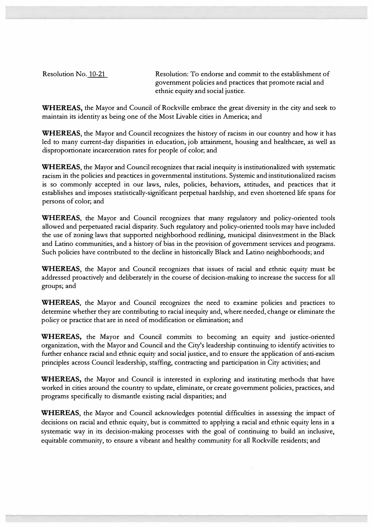Resolution No. 10-21 Resolution: To endorse and commit to the establishment of government policies and practices that promote racial and ethnic equity and social justice.

WHEREAS, the Mayor and Council of Rockville embrace the great diversity in the city and seek to maintain its identity as being one of the Most Livable cities in America; and

WHEREAS, the Mayor and Council recognizes the history of racism in our country and how it has led to many current-day disparities in education, job attainment, housing and healthcare, as well as disproportionate incarceration rates for people of color; and

WHEREAS, the Mayor and Council recognizes that racial inequity is institutionalized with systematic racism in the policies and practices in governmental institutions. Systemic and institutionalized racism is so commonly accepted in our laws, rules, policies, behaviors, attitudes, and practices that it establishes and imposes statistically-significant perpetual hardship, and even shortened life spans for persons of color; and

WHEREAS, the Mayor and Council recognizes that many regulatory and policy-oriented tools allowed and perpetuated racial disparity. Such regulatory and policy-oriented tools may have included the use of zoning laws that supported neighborhood redlining, municipal disinvestment in the Black and Latino communities, and a history of bias in the provision of government services and programs. Such policies have contributed to the decline in historically Black and Latino neighborhoods; and

WHEREAS, the Mayor and Council recognizes that issues of racial and ethnic equity must be addressed proactively and deliberately in the course of decision-making to increase the success for all groups; and

WHEREAS, the Mayor and Council recognizes the need to examine policies and practices to determine whether they are contributing to racial inequity and, where needed, change or eliminate the policy or practice that are in need of modification or elimination; and

WHEREAS, the Mayor and Council commits to becoming an equity and justice-oriented organization, with the Mayor and Council and the City's leadership continuing to identify activities to further enhance racial and ethnic equity and social justice, and to ensure the application of anti-racism principles across Council leadership, staffing, contracting and participation in City activities; and

WHEREAS, the Mayor and Council is interested in exploring and instituting methods that have worked in cities around the country to update, eliminate, or create government policies, practices, and programs specifically to dismantle existing racial disparities; and

WHEREAS, the Mayor and Council acknowledges potential difficulties in assessing the impact of decisions on racial and ethnic equity, but is committed to applying a racial and ethnic equity lens in a systematic way in its decision-making processes with the goal of continuing to build an inclusive, equitable community, to ensure a vibrant and healthy community for all Rockville residents; and